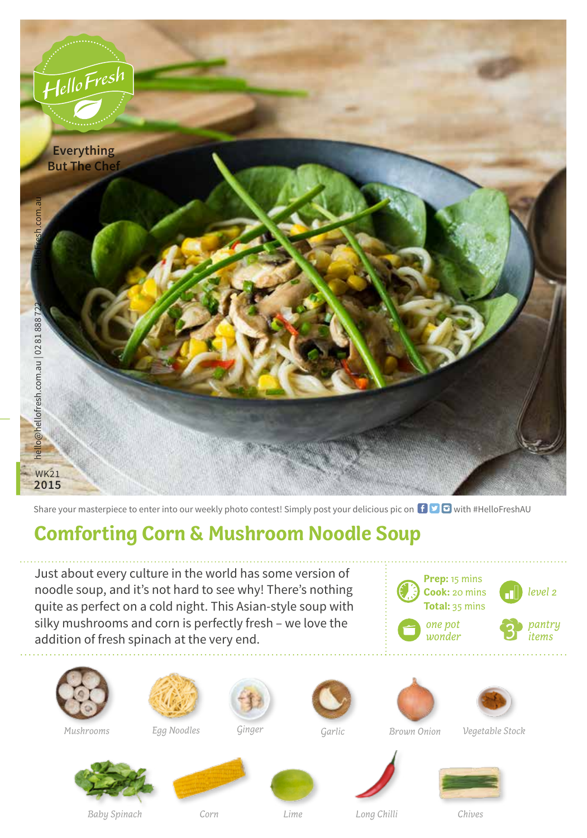

Share your masterpiece to enter into our weekly photo contest! Simply post your delicious pic on  $\bigoplus$   $\bigoplus$  with #HelloFreshAU

## **Comforting Corn & Mushroom Noodle Soup**

Just about every culture in the world has some version of noodle soup, and it's not hard to see why! There's nothing quite as perfect on a cold night. This Asian-style soup with silky mushrooms and corn is perfectly fresh – we love the addition of fresh spinach at the very end.









*Mushrooms Egg Noodles* **Ginger Garlic** *Brown Onion* 





*Garlic Vegetable Stock*







*Baby Spinach Corn Lime Long Chilli Chives*